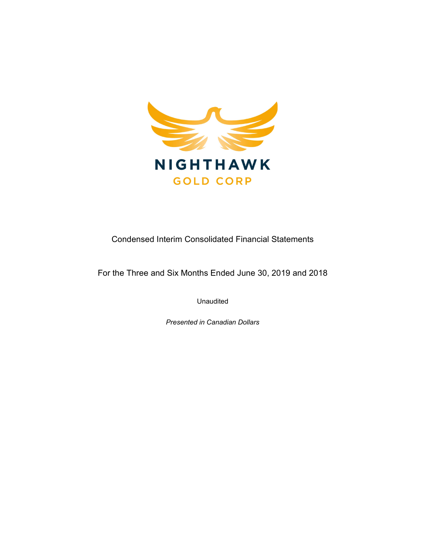

Condensed Interim Consolidated Financial Statements

For the Three and Six Months Ended June 30, 2019 and 2018

Unaudited

Presented in Canadian Dollars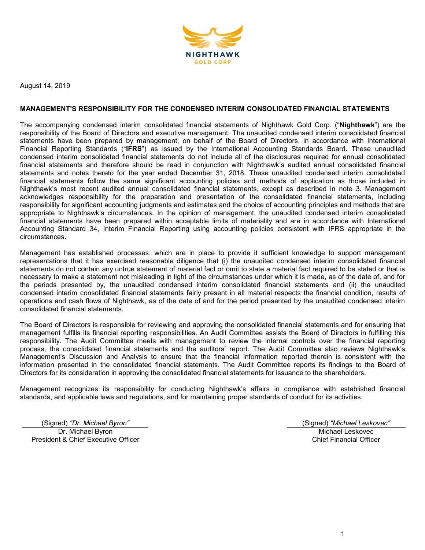

August 14, 2019

## MANAGEMENT'S RESPONSIBILITY FOR THE CONDENSED INTERIM CONSOLIDATED FINANCIAL STATEMENTS

The accompanying condensed interim consolidated financial statements of Nighthawk Gold Corp. ("Nighthawk") are the responsibility of the Board of Directors and executive management. The unaudited condensed interim consolidated financial statements have been prepared by management, on behalf of the Board of Directors, in accordance with International Financial Reporting Standards ("IFRS") as issued by the International Accounting Standards Board. These unaudited condensed interim consolidated financial statements do not include all of the disclosures required for annual consolidated financial statements and therefore should be read in conjunction with Nighthawk's audited annual consolidated financial statements and notes thereto for the year ended December 31, 2018. These unaudited condensed interim consolidated financial statements follow the same significant accounting policies and methods of application as those included in Nighthawk's most recent audited annual consolidated financial statements, except as described in note 3. Management acknowledges responsibility for the preparation and presentation of the consolidated financial statements, including responsibility for significant accounting judgments and estimates and the choice of accounting principles and methods that are appropriate to Nighthawk's circumstances. In the opinion of management, the unaudited condensed interim consolidated financial statements have been prepared within acceptable limits of materiality and are in accordance with International Accounting Standard 34, Interim Financial Reporting using accounting policies consistent with IFRS appropriate in the circumstances.

Management has established processes, which are in place to provide it sufficient knowledge to support management representations that it has exercised reasonable diligence that (i) the unaudited condensed interim consolidated financial statements do not contain any untrue statement of material fact or omit to state a material fact required to be stated or that is necessary to make a statement not misleading in light of the circumstances under which it is made, as of the date of, and for the periods presented by, the unaudited condensed interim consolidated financial statements and (ii) the unaudited condensed interim consolidated financial statements fairly present in all material respects the financial condition, results of operations and cash flows of Nighthawk, as of the date of and for the period presented by the unaudited condensed interim consolidated financial statements.

The Board of Directors is responsible for reviewing and approving the consolidated financial statements and for ensuring that management fulfills its financial reporting responsibilities. An Audit Committee assists the Board of Directors in fulfilling this responsibility. The Audit Committee meets with management to review the internal controls over the financial reporting process, the consolidated financial statements and the auditors' report. The Audit Committee also reviews Nighthawk's Management's Discussion and Analysis to ensure that the financial information reported therein is consistent with the information presented in the consolidated financial statements. The Audit Committee reports its findings to the Board of Directors for its consideration in approving the consolidated financial statements for issuance to the shareholders.

Management recognizes its responsibility for conducting Nighthawk's affairs in compliance with established financial standards, and applicable laws and regulations, and for maintaining proper standards of conduct for its activities.

(Signed) "Dr. Michael Byron" (Signed) "Michael Leskovec" Dr. Michael Byron President & Chief Executive Officer

Michael Leskovec Chief Financial Officer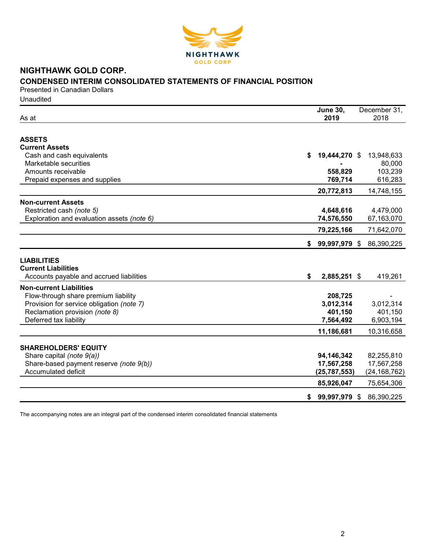

# NIGHTHAWK GOLD CORP. CONDENSED INTERIM CONSOLIDATED STATEMENTS OF FINANCIAL POSITION

Presented in Canadian Dollars **Unaudited** 

| As at                                      | <b>June 30,</b><br>2019 | December 31,<br>2018 |
|--------------------------------------------|-------------------------|----------------------|
|                                            |                         |                      |
| <b>ASSETS</b>                              |                         |                      |
| <b>Current Assets</b>                      |                         |                      |
| Cash and cash equivalents                  | 19,444,270 \$<br>S      | 13,948,633           |
| Marketable securities                      |                         | 80,000               |
| Amounts receivable                         | 558,829                 | 103,239              |
| Prepaid expenses and supplies              | 769,714                 | 616,283              |
|                                            | 20,772,813              | 14,748,155           |
| <b>Non-current Assets</b>                  |                         |                      |
| Restricted cash (note 5)                   | 4,648,616               | 4,479,000            |
| Exploration and evaluation assets (note 6) | 74,576,550              | 67,163,070           |
|                                            | 79,225,166              | 71,642,070           |
|                                            | 99,997,979 \$<br>S.     | 86,390,225           |
|                                            |                         |                      |
| <b>LIABILITIES</b>                         |                         |                      |
| <b>Current Liabilities</b>                 |                         |                      |
| Accounts payable and accrued liabilities   | \$<br>2,885,251 \$      | 419,261              |
| <b>Non-current Liabilities</b>             |                         |                      |
| Flow-through share premium liability       | 208,725                 |                      |
| Provision for service obligation (note 7)  | 3,012,314               | 3,012,314            |
| Reclamation provision (note 8)             | 401,150                 | 401,150              |
| Deferred tax liability                     | 7,564,492               | 6,903,194            |
|                                            | 11,186,681              | 10,316,658           |
|                                            |                         |                      |
| <b>SHAREHOLDERS' EQUITY</b>                |                         |                      |
| Share capital (note 9(a))                  | 94,146,342              | 82,255,810           |
| Share-based payment reserve (note 9(b))    | 17,567,258              | 17,567,258           |
| Accumulated deficit                        | (25, 787, 553)          | (24, 168, 762)       |
|                                            | 85,926,047              | 75,654,306           |
|                                            | 99,997,979 \$<br>\$     | 86,390,225           |
|                                            |                         |                      |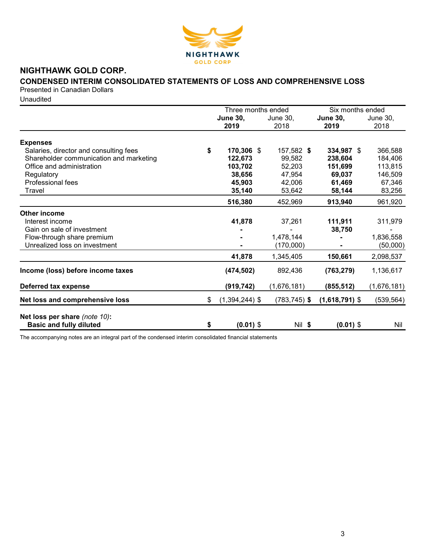

# NIGHTHAWK GOLD CORP.

# CONDENSED INTERIM CONSOLIDATED STATEMENTS OF LOSS AND COMPREHENSIVE LOSS

Presented in Canadian Dollars

**Unaudited** 

|                                         | Three months ended |                  |                 | Six months ended |             |  |
|-----------------------------------------|--------------------|------------------|-----------------|------------------|-------------|--|
|                                         |                    | <b>June 30,</b>  | June 30,        | <b>June 30,</b>  | June 30,    |  |
|                                         |                    | 2019             | 2018            | 2019             | 2018        |  |
| <b>Expenses</b>                         |                    |                  |                 |                  |             |  |
| Salaries, director and consulting fees  | \$                 | 170,306 \$       | 157,582 \$      | 334,987 \$       | 366,588     |  |
| Shareholder communication and marketing |                    | 122,673          | 99,582          | 238,604          | 184,406     |  |
| Office and administration               |                    | 103,702          | 52,203          | 151,699          | 113,815     |  |
| Regulatory                              |                    | 38,656           | 47,954          | 69,037           | 146,509     |  |
| Professional fees                       |                    | 45,903           | 42,006          | 61,469           | 67,346      |  |
| Travel                                  |                    | 35,140           | 53,642          | 58,144           | 83,256      |  |
|                                         |                    | 516,380          | 452,969         | 913,940          | 961,920     |  |
| <b>Other income</b>                     |                    |                  |                 |                  |             |  |
| Interest income                         |                    | 41,878           | 37,261          | 111,911          | 311,979     |  |
| Gain on sale of investment              |                    |                  |                 | 38,750           |             |  |
| Flow-through share premium              |                    |                  | 1,478,144       |                  | 1,836,558   |  |
| Unrealized loss on investment           |                    |                  | (170,000)       |                  | (50,000)    |  |
|                                         |                    | 41,878           | 1,345,405       | 150,661          | 2,098,537   |  |
| Income (loss) before income taxes       |                    | (474, 502)       | 892,436         | (763, 279)       | 1,136,617   |  |
| Deferred tax expense                    |                    | (919, 742)       | (1,676,181)     | (855, 512)       | (1,676,181) |  |
| Net loss and comprehensive loss         | \$                 | $(1,394,244)$ \$ | $(783, 745)$ \$ | $(1,618,791)$ \$ | (539, 564)  |  |
| Net loss per share (note 10):           |                    |                  |                 |                  |             |  |
| <b>Basic and fully diluted</b>          | \$                 | $(0.01)$ \$      | Nil \$          | $(0.01)$ \$      | Nil         |  |
|                                         |                    |                  |                 |                  |             |  |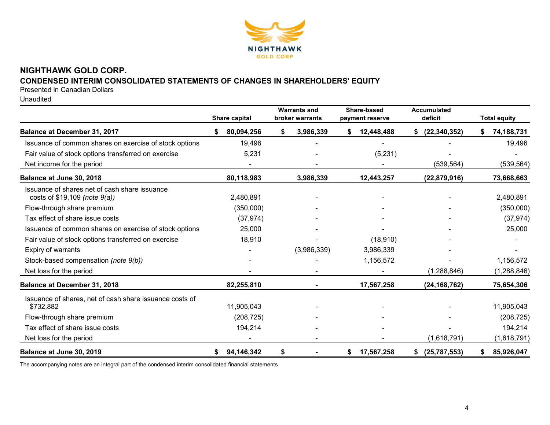

# NIGHTHAWK GOLD CORP.

# CONDENSED INTERIM CONSOLIDATED STATEMENTS OF CHANGES IN SHAREHOLDERS' EQUITY

Presented in Canadian Dollars

Unaudited

|                                                                                    |    | Share capital |    | <b>Warrants and</b><br>broker warrants |    | Share-based<br>payment reserve |    | <b>Accumulated</b><br>deficit |   | <b>Total equity</b> |
|------------------------------------------------------------------------------------|----|---------------|----|----------------------------------------|----|--------------------------------|----|-------------------------------|---|---------------------|
| Balance at December 31, 2017                                                       | S. | 80,094,256    | S  | 3,986,339                              | S. | 12,448,488                     | S. | (22, 340, 352)                |   | 74,188,731          |
| Issuance of common shares on exercise of stock options                             |    | 19,496        |    |                                        |    |                                |    |                               |   | 19,496              |
| Fair value of stock options transferred on exercise                                |    | 5,231         |    |                                        |    | (5,231)                        |    |                               |   |                     |
| Net income for the period                                                          |    |               |    |                                        |    |                                |    | (539, 564)                    |   | (539, 564)          |
| Balance at June 30, 2018                                                           |    | 80,118,983    |    | 3,986,339                              |    | 12,443,257                     |    | (22, 879, 916)                |   | 73,668,663          |
| Issuance of shares net of cash share issuance<br>costs of $$19,109$ (note $9(a)$ ) |    | 2,480,891     |    |                                        |    |                                |    |                               |   | 2,480,891           |
| Flow-through share premium                                                         |    | (350,000)     |    |                                        |    |                                |    |                               |   | (350,000)           |
| Tax effect of share issue costs                                                    |    | (37, 974)     |    |                                        |    |                                |    |                               |   | (37, 974)           |
| Issuance of common shares on exercise of stock options                             |    | 25,000        |    |                                        |    |                                |    |                               |   | 25,000              |
| Fair value of stock options transferred on exercise                                |    | 18,910        |    |                                        |    | (18, 910)                      |    |                               |   |                     |
| Expiry of warrants                                                                 |    |               |    | (3,986,339)                            |    | 3,986,339                      |    |                               |   |                     |
| Stock-based compensation (note 9(b))                                               |    |               |    |                                        |    | 1,156,572                      |    |                               |   | 1,156,572           |
| Net loss for the period                                                            |    |               |    |                                        |    |                                |    | (1,288,846)                   |   | (1, 288, 846)       |
| Balance at December 31, 2018                                                       |    | 82,255,810    |    |                                        |    | 17,567,258                     |    | (24, 168, 762)                |   | 75,654,306          |
| Issuance of shares, net of cash share issuance costs of<br>\$732,882               |    | 11,905,043    |    |                                        |    |                                |    |                               |   | 11,905,043          |
| Flow-through share premium                                                         |    | (208, 725)    |    |                                        |    |                                |    |                               |   | (208, 725)          |
| Tax effect of share issue costs                                                    |    | 194,214       |    |                                        |    |                                |    |                               |   | 194,214             |
| Net loss for the period                                                            |    |               |    |                                        |    |                                |    | (1,618,791)                   |   | (1,618,791)         |
| Balance at June 30, 2019                                                           | S. | 94,146,342    | \$ |                                        | S  | 17,567,258                     | S. | (25, 787, 553)                | S | 85,926,047          |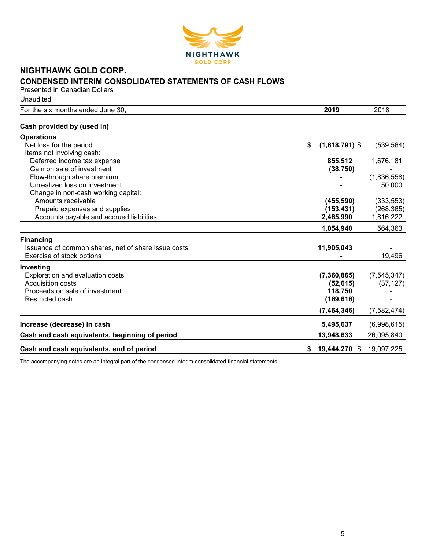

# NIGHTHAWK GOLD CORP. CONDENSED INTERIM CONSOLIDATED STATEMENTS OF CASH FLOWS

Presented in Canadian Dollars **Unaudited** 

| For the six months ended June 30,                   |    | 2019             | 2018          |
|-----------------------------------------------------|----|------------------|---------------|
| Cash provided by (used in)                          |    |                  |               |
| <b>Operations</b>                                   |    |                  |               |
| Net loss for the period                             | \$ | $(1,618,791)$ \$ | (539, 564)    |
| Items not involving cash:                           |    |                  |               |
| Deferred income tax expense                         |    | 855,512          | 1,676,181     |
| Gain on sale of investment                          |    | (38, 750)        |               |
| Flow-through share premium                          |    |                  | (1,836,558)   |
| Unrealized loss on investment                       |    |                  | 50,000        |
| Change in non-cash working capital:                 |    |                  |               |
| Amounts receivable                                  |    | (455, 590)       | (333, 553)    |
| Prepaid expenses and supplies                       |    | (153, 431)       | (268, 365)    |
| Accounts payable and accrued liabilities            |    | 2,465,990        | 1,816,222     |
|                                                     |    | 1,054,940        | 564,363       |
| <b>Financing</b>                                    |    |                  |               |
| Issuance of common shares, net of share issue costs |    | 11,905,043       |               |
| Exercise of stock options                           |    |                  | 19,496        |
| Investing                                           |    |                  |               |
| Exploration and evaluation costs                    |    | (7,360,865)      | (7, 545, 347) |
| Acquisition costs                                   |    | (52, 615)        | (37, 127)     |
| Proceeds on sale of investment                      |    | 118,750          |               |
| Restricted cash                                     |    | (169, 616)       |               |
|                                                     |    | (7,464,346)      | (7, 582, 474) |
| Increase (decrease) in cash                         |    | 5,495,637        | (6,998,615)   |
| Cash and cash equivalents, beginning of period      |    | 13,948,633       | 26,095,840    |
| Cash and cash equivalents, end of period            | S. | 19,444,270 \$    | 19,097,225    |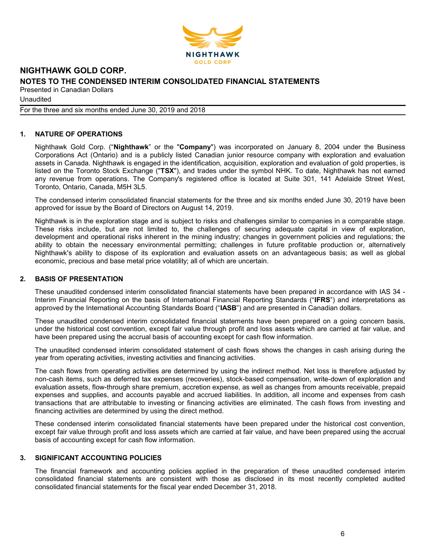

Unaudited

For the three and six months ended June 30, 2019 and 2018

# 1. NATURE OF OPERATIONS

Nighthawk Gold Corp. ("Nighthawk" or the "Company") was incorporated on January 8, 2004 under the Business Corporations Act (Ontario) and is a publicly listed Canadian junior resource company with exploration and evaluation assets in Canada. Nighthawk is engaged in the identification, acquisition, exploration and evaluation of gold properties, is listed on the Toronto Stock Exchange ("TSX"), and trades under the symbol NHK. To date, Nighthawk has not earned any revenue from operations. The Company's registered office is located at Suite 301, 141 Adelaide Street West, Toronto, Ontario, Canada, M5H 3L5.

The condensed interim consolidated financial statements for the three and six months ended June 30, 2019 have been approved for issue by the Board of Directors on August 14, 2019.

Nighthawk is in the exploration stage and is subject to risks and challenges similar to companies in a comparable stage. These risks include, but are not limited to, the challenges of securing adequate capital in view of exploration, development and operational risks inherent in the mining industry; changes in government policies and regulations; the ability to obtain the necessary environmental permitting; challenges in future profitable production or, alternatively Nighthawk's ability to dispose of its exploration and evaluation assets on an advantageous basis; as well as global economic, precious and base metal price volatility; all of which are uncertain.

### 2. BASIS OF PRESENTATION

These unaudited condensed interim consolidated financial statements have been prepared in accordance with IAS 34 - Interim Financial Reporting on the basis of International Financial Reporting Standards ("IFRS") and interpretations as approved by the International Accounting Standards Board ("IASB") and are presented in Canadian dollars.

These unaudited condensed interim consolidated financial statements have been prepared on a going concern basis, under the historical cost convention, except fair value through profit and loss assets which are carried at fair value, and have been prepared using the accrual basis of accounting except for cash flow information.

The unaudited condensed interim consolidated statement of cash flows shows the changes in cash arising during the year from operating activities, investing activities and financing activities.

The cash flows from operating activities are determined by using the indirect method. Net loss is therefore adjusted by non-cash items, such as deferred tax expenses (recoveries), stock-based compensation, write-down of exploration and evaluation assets, flow-through share premium, accretion expense, as well as changes from amounts receivable, prepaid expenses and supplies, and accounts payable and accrued liabilities. In addition, all income and expenses from cash transactions that are attributable to investing or financing activities are eliminated. The cash flows from investing and financing activities are determined by using the direct method.

These condensed interim consolidated financial statements have been prepared under the historical cost convention, except fair value through profit and loss assets which are carried at fair value, and have been prepared using the accrual basis of accounting except for cash flow information.

### 3. SIGNIFICANT ACCOUNTING POLICIES

The financial framework and accounting policies applied in the preparation of these unaudited condensed interim consolidated financial statements are consistent with those as disclosed in its most recently completed audited consolidated financial statements for the fiscal year ended December 31, 2018.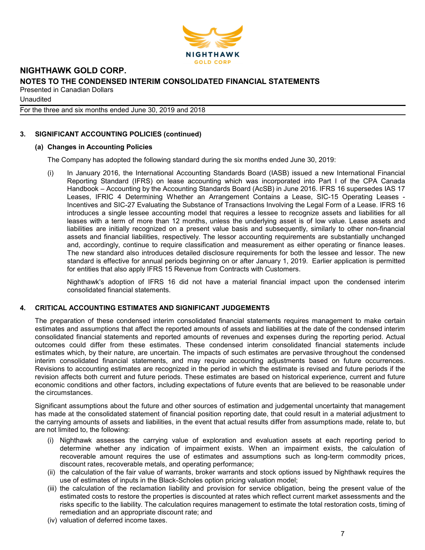

**Unaudited** 

For the three and six months ended June 30, 2019 and 2018

# 3. SIGNIFICANT ACCOUNTING POLICIES (continued)

# (a) Changes in Accounting Policies

The Company has adopted the following standard during the six months ended June 30, 2019:

(i) In January 2016, the International Accounting Standards Board (IASB) issued a new International Financial Reporting Standard (IFRS) on lease accounting which was incorporated into Part I of the CPA Canada Handbook – Accounting by the Accounting Standards Board (AcSB) in June 2016. IFRS 16 supersedes IAS 17 Leases, IFRIC 4 Determining Whether an Arrangement Contains a Lease, SIC-15 Operating Leases - Incentives and SIC-27 Evaluating the Substance of Transactions Involving the Legal Form of a Lease. IFRS 16 introduces a single lessee accounting model that requires a lessee to recognize assets and liabilities for all leases with a term of more than 12 months, unless the underlying asset is of low value. Lease assets and liabilities are initially recognized on a present value basis and subsequently, similarly to other non-financial assets and financial liabilities, respectively. The lessor accounting requirements are substantially unchanged and, accordingly, continue to require classification and measurement as either operating or finance leases. The new standard also introduces detailed disclosure requirements for both the lessee and lessor. The new standard is effective for annual periods beginning on or after January 1, 2019. Earlier application is permitted for entities that also apply IFRS 15 Revenue from Contracts with Customers.

Nighthawk's adoption of IFRS 16 did not have a material financial impact upon the condensed interim consolidated financial statements.

# 4. CRITICAL ACCOUNTING ESTIMATES AND SIGNIFICANT JUDGEMENTS

The preparation of these condensed interim consolidated financial statements requires management to make certain estimates and assumptions that affect the reported amounts of assets and liabilities at the date of the condensed interim consolidated financial statements and reported amounts of revenues and expenses during the reporting period. Actual outcomes could differ from these estimates. These condensed interim consolidated financial statements include estimates which, by their nature, are uncertain. The impacts of such estimates are pervasive throughout the condensed interim consolidated financial statements, and may require accounting adjustments based on future occurrences. Revisions to accounting estimates are recognized in the period in which the estimate is revised and future periods if the revision affects both current and future periods. These estimates are based on historical experience, current and future economic conditions and other factors, including expectations of future events that are believed to be reasonable under the circumstances.

Significant assumptions about the future and other sources of estimation and judgemental uncertainty that management has made at the consolidated statement of financial position reporting date, that could result in a material adjustment to the carrying amounts of assets and liabilities, in the event that actual results differ from assumptions made, relate to, but are not limited to, the following:

- (i) Nighthawk assesses the carrying value of exploration and evaluation assets at each reporting period to determine whether any indication of impairment exists. When an impairment exists, the calculation of recoverable amount requires the use of estimates and assumptions such as long-term commodity prices, discount rates, recoverable metals, and operating performance;
- (ii) the calculation of the fair value of warrants, broker warrants and stock options issued by Nighthawk requires the use of estimates of inputs in the Black-Scholes option pricing valuation model;
- (iii) the calculation of the reclamation liability and provision for service obligation, being the present value of the estimated costs to restore the properties is discounted at rates which reflect current market assessments and the risks specific to the liability. The calculation requires management to estimate the total restoration costs, timing of remediation and an appropriate discount rate; and
- (iv) valuation of deferred income taxes.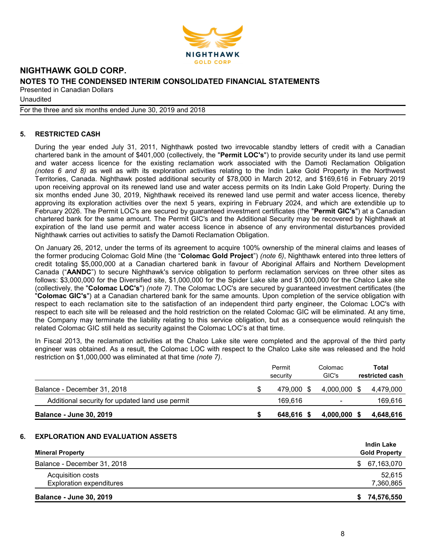

**Unaudited** 

For the three and six months ended June 30, 2019 and 2018

# 5. RESTRICTED CASH

During the year ended July 31, 2011, Nighthawk posted two irrevocable standby letters of credit with a Canadian chartered bank in the amount of \$401,000 (collectively, the "Permit LOC's") to provide security under its land use permit and water access licence for the existing reclamation work associated with the Damoti Reclamation Obligation (notes 6 and 8) as well as with its exploration activities relating to the Indin Lake Gold Property in the Northwest Territories, Canada. Nighthawk posted additional security of \$78,000 in March 2012, and \$169,616 in February 2019 upon receiving approval on its renewed land use and water access permits on its Indin Lake Gold Property. During the six months ended June 30, 2019, Nighthawk received its renewed land use permit and water access licence, thereby approving its exploration activities over the next 5 years, expiring in February 2024, and which are extendible up to February 2026. The Permit LOC's are secured by quaranteed investment certificates (the "Permit GIC's") at a Canadian chartered bank for the same amount. The Permit GIC's and the Additional Security may be recovered by Nighthawk at expiration of the land use permit and water access licence in absence of any environmental disturbances provided Nighthawk carries out activities to satisfy the Damoti Reclamation Obligation.

On January 26, 2012, under the terms of its agreement to acquire 100% ownership of the mineral claims and leases of the former producing Colomac Gold Mine (the "Colomac Gold Project") (note 6), Nighthawk entered into three letters of credit totaling \$5,000,000 at a Canadian chartered bank in favour of Aboriginal Affairs and Northern Development Canada ("AANDC") to secure Nighthawk's service obligation to perform reclamation services on three other sites as follows: \$3,000,000 for the Diversified site, \$1,000,000 for the Spider Lake site and \$1,000,000 for the Chalco Lake site (collectively, the "Colomac LOC's") (note 7). The Colomac LOC's are secured by guaranteed investment certificates (the "Colomac GIC's") at a Canadian chartered bank for the same amounts. Upon completion of the service obligation with respect to each reclamation site to the satisfaction of an independent third party engineer, the Colomac LOC's with respect to each site will be released and the hold restriction on the related Colomac GIC will be eliminated. At any time, the Company may terminate the liability relating to this service obligation, but as a consequence would relinquish the related Colomac GIC still held as security against the Colomac LOC's at that time.

In Fiscal 2013, the reclamation activities at the Chalco Lake site were completed and the approval of the third party engineer was obtained. As a result, the Colomac LOC with respect to the Chalco Lake site was released and the hold restriction on \$1,000,000 was eliminated at that time (note 7).

|                                                 | Permit<br>security | Colomac<br>GIC's         |      | Total<br>restricted cash |
|-------------------------------------------------|--------------------|--------------------------|------|--------------------------|
| Balance - December 31, 2018                     | 479.000 \$         | 4.000.000                | - \$ | 4.479.000                |
| Additional security for updated land use permit | 169.616            | $\overline{\phantom{0}}$ |      | 169,616                  |
| <b>Balance - June 30, 2019</b>                  | 648.616 \$         | $4,000,000$ \$           |      | 4,648,616                |

#### 6. EXPLORATION AND EVALUATION ASSETS

|                                 | <b>Indin Lake</b>    |
|---------------------------------|----------------------|
| <b>Mineral Property</b>         | <b>Gold Property</b> |
| Balance - December 31, 2018     | \$67,163,070         |
| Acquisition costs               | 52,615               |
| <b>Exploration expenditures</b> | 7,360,865            |
| <b>Balance - June 30, 2019</b>  | 74,576,550<br>S.     |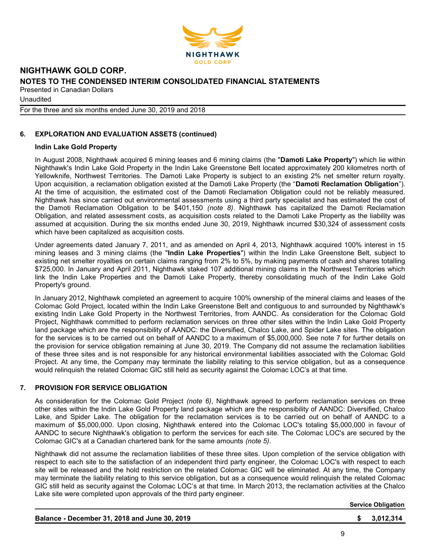

**Unaudited** 

For the three and six months ended June 30, 2019 and 2018

# 6. EXPLORATION AND EVALUATION ASSETS (continued)

### Indin Lake Gold Property

In August 2008, Nighthawk acquired 6 mining leases and 6 mining claims (the "Damoti Lake Property") which lie within Nighthawk's Indin Lake Gold Property in the Indin Lake Greenstone Belt located approximately 200 kilometres north of Yellowknife, Northwest Territories. The Damoti Lake Property is subject to an existing 2% net smelter return royalty. Upon acquisition, a reclamation obligation existed at the Damoti Lake Property (the "Damoti Reclamation Obligation"). At the time of acquisition, the estimated cost of the Damoti Reclamation Obligation could not be reliably measured. Nighthawk has since carried out environmental assessments using a third party specialist and has estimated the cost of the Damoti Reclamation Obligation to be \$401,150 (note 8). Nighthawk has capitalized the Damoti Reclamation Obligation, and related assessment costs, as acquisition costs related to the Damoti Lake Property as the liability was assumed at acquisition. During the six months ended June 30, 2019, Nighthawk incurred \$30,324 of assessment costs which have been capitalized as acquisition costs.

Under agreements dated January 7, 2011, and as amended on April 4, 2013, Nighthawk acquired 100% interest in 15 mining leases and 3 mining claims (the "Indin Lake Properties") within the Indin Lake Greenstone Belt, subject to existing net smelter royalties on certain claims ranging from 2% to 5%, by making payments of cash and shares totalling \$725,000. In January and April 2011, Nighthawk staked 107 additional mining claims in the Northwest Territories which link the Indin Lake Properties and the Damoti Lake Property, thereby consolidating much of the Indin Lake Gold Property's ground.

In January 2012, Nighthawk completed an agreement to acquire 100% ownership of the mineral claims and leases of the Colomac Gold Project, located within the Indin Lake Greenstone Belt and contiguous to and surrounded by Nighthawk's existing Indin Lake Gold Property in the Northwest Territories, from AANDC. As consideration for the Colomac Gold Project, Nighthawk committed to perform reclamation services on three other sites within the Indin Lake Gold Property land package which are the responsibility of AANDC: the Diversified, Chalco Lake, and Spider Lake sites. The obligation for the services is to be carried out on behalf of AANDC to a maximum of \$5,000,000. See note 7 for further details on the provision for service obligation remaining at June 30, 2019. The Company did not assume the reclamation liabilities of these three sites and is not responsible for any historical environmental liabilities associated with the Colomac Gold Project. At any time, the Company may terminate the liability relating to this service obligation, but as a consequence would relinquish the related Colomac GIC still held as security against the Colomac LOC's at that time.

#### 7. PROVISION FOR SERVICE OBLIGATION

As consideration for the Colomac Gold Project (note 6), Nighthawk agreed to perform reclamation services on three other sites within the Indin Lake Gold Property land package which are the responsibility of AANDC: Diversified, Chalco Lake, and Spider Lake. The obligation for the reclamation services is to be carried out on behalf of AANDC to a maximum of \$5,000,000. Upon closing, Nighthawk entered into the Colomac LOC's totaling \$5,000,000 in favour of AANDC to secure Nighthawk's obligation to perform the services for each site. The Colomac LOC's are secured by the Colomac GIC's at a Canadian chartered bank for the same amounts (note 5).

Nighthawk did not assume the reclamation liabilities of these three sites. Upon completion of the service obligation with respect to each site to the satisfaction of an independent third party engineer, the Colomac LOC's with respect to each site will be released and the hold restriction on the related Colomac GIC will be eliminated. At any time, the Company may terminate the liability relating to this service obligation, but as a consequence would relinquish the related Colomac GIC still held as security against the Colomac LOC's at that time. In March 2013, the reclamation activities at the Chalco Lake site were completed upon approvals of the third party engineer.

Service Obligation

| Balance - December 31, 2018 and June 30, 2019 | \$3,012,314 |
|-----------------------------------------------|-------------|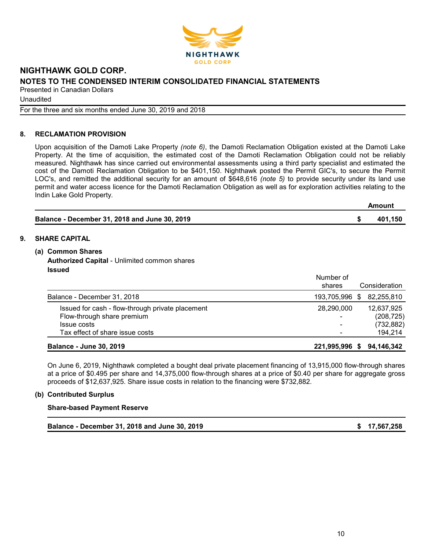

**Unaudited** 

For the three and six months ended June 30, 2019 and 2018

### 8. RECLAMATION PROVISION

Upon acquisition of the Damoti Lake Property (note 6), the Damoti Reclamation Obligation existed at the Damoti Lake Property. At the time of acquisition, the estimated cost of the Damoti Reclamation Obligation could not be reliably measured. Nighthawk has since carried out environmental assessments using a third party specialist and estimated the cost of the Damoti Reclamation Obligation to be \$401,150. Nighthawk posted the Permit GIC's, to secure the Permit LOC's, and remitted the additional security for an amount of \$648,616 (note 5) to provide security under its land use permit and water access licence for the Damoti Reclamation Obligation as well as for exploration activities relating to the Indin Lake Gold Property.

|                                               | Amount  |
|-----------------------------------------------|---------|
| Balance - December 31, 2018 and June 30, 2019 | 401,150 |

#### 9. SHARE CAPITAL

#### (a) Common Shares

Authorized Capital - Unlimited common shares Issued

|                                                  | Number of<br>shares | Consideration |
|--------------------------------------------------|---------------------|---------------|
| Balance - December 31, 2018                      | 193,705,996 \$      | 82,255,810    |
| Issued for cash - flow-through private placement | 28,290,000          | 12,637,925    |
| Flow-through share premium                       | -                   | (208, 725)    |
| Issue costs                                      | -                   | (732, 882)    |
| Tax effect of share issue costs                  | -                   | 194,214       |
| <b>Balance - June 30, 2019</b>                   | 221,995,996<br>S.   | 94.146.342    |

On June 6, 2019, Nighthawk completed a bought deal private placement financing of 13,915,000 flow-through shares at a price of \$0.495 per share and 14,375,000 flow-through shares at a price of \$0.40 per share for aggregate gross proceeds of \$12,637,925. Share issue costs in relation to the financing were \$732,882.

#### (b) Contributed Surplus

#### Share-based Payment Reserve

Balance - December 31, 2018 and June 30, 2019 **1990 12:00 12:00 12:00 12:00 12:00 12:00 13:00 13:00 13:00 13:00**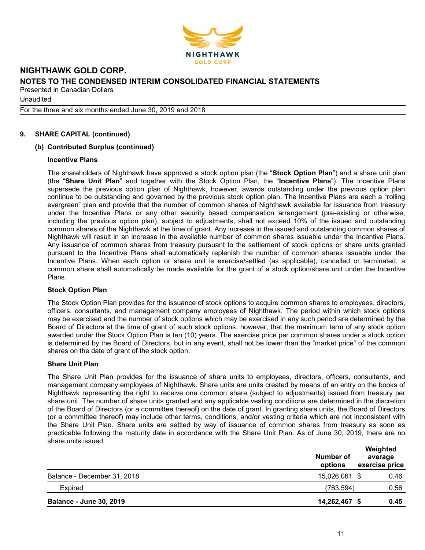

**Unaudited** 

For the three and six months ended June 30, 2019 and 2018

# 9. SHARE CAPITAL (continued)

#### (b) Contributed Surplus (continued)

#### Incentive Plans

The shareholders of Nighthawk have approved a stock option plan (the "Stock Option Plan") and a share unit plan (the "Share Unit Plan" and together with the Stock Option Plan, the "Incentive Plans"). The Incentive Plans supersede the previous option plan of Nighthawk, however, awards outstanding under the previous option plan continue to be outstanding and governed by the previous stock option plan. The Incentive Plans are each a "rolling evergreen" plan and provide that the number of common shares of Nighthawk available for issuance from treasury under the Incentive Plans or any other security based compensation arrangement (pre-existing or otherwise, including the previous option plan), subject to adjustments, shall not exceed 10% of the issued and outstanding common shares of the Nighthawk at the time of grant. Any increase in the issued and outstanding common shares of Nighthawk will result in an increase in the available number of common shares issuable under the Incentive Plans. Any issuance of common shares from treasury pursuant to the settlement of stock options or share units granted pursuant to the Incentive Plans shall automatically replenish the number of common shares issuable under the Incentive Plans. When each option or share unit is exercise/settled (as applicable), cancelled or terminated, a common share shall automatically be made available for the grant of a stock option/share unit under the Incentive Plans.

#### Stock Option Plan

The Stock Option Plan provides for the issuance of stock options to acquire common shares to employees, directors, officers, consultants, and management company employees of Nighthawk. The period within which stock options may be exercised and the number of stock options which may be exercised in any such period are determined by the Board of Directors at the time of grant of such stock options, however, that the maximum term of any stock option awarded under the Stock Option Plan is ten (10) years. The exercise price per common shares under a stock option is determined by the Board of Directors, but in any event, shall not be lower than the "market price" of the common shares on the date of grant of the stock option.

#### Share Unit Plan

The Share Unit Plan provides for the issuance of share units to employees, directors, officers, consultants, and management company employees of Nighthawk. Share units are units created by means of an entry on the books of Nighthawk representing the right to receive one common share (subject to adjustments) issued from treasury per share unit. The number of share units granted and any applicable vesting conditions are determined in the discretion of the Board of Directors (or a committee thereof) on the date of grant. In granting share units, the Board of Directors (or a committee thereof) may include other terms, conditions, and/or vesting criteria which are not inconsistent with the Share Unit Plan. Share units are settled by way of issuance of common shares from treasury as soon as practicable following the maturity date in accordance with the Share Unit Plan. As of June 30, 2019, there are no share units issued.

|                                | Number of<br>options | Weighted<br>average<br>exercise price |
|--------------------------------|----------------------|---------------------------------------|
| Balance - December 31, 2018    | 15,026,061 \$        | 0.46                                  |
| <b>Expired</b>                 | (763,594)            | 0.56                                  |
| <b>Balance - June 30, 2019</b> | 14,262,467 \$        | 0.45                                  |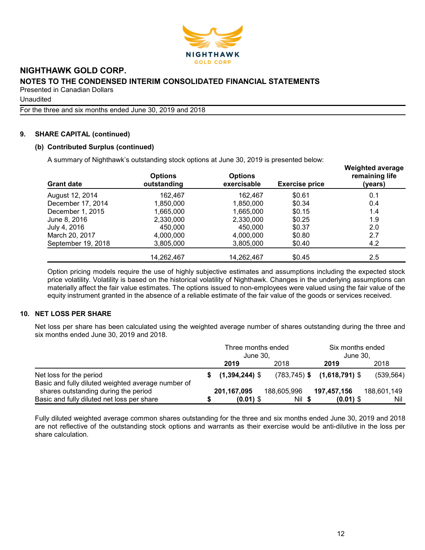

Unaudited

For the three and six months ended June 30, 2019 and 2018

### 9. SHARE CAPITAL (continued)

### (b) Contributed Surplus (continued)

A summary of Nighthawk's outstanding stock options at June 30, 2019 is presented below:

| <b>Grant date</b>  | <b>Options</b><br>outstanding | <b>Options</b><br>exercisable | <b>Exercise price</b> | <b>Weighted average</b><br>remaining life<br>(years) |
|--------------------|-------------------------------|-------------------------------|-----------------------|------------------------------------------------------|
| August 12, 2014    | 162.467                       | 162.467                       | \$0.61                | 0.1                                                  |
| December 17, 2014  | 1,850,000                     | 1,850,000                     | \$0.34                | 0.4                                                  |
| December 1, 2015   | 1,665,000                     | 1,665,000                     | \$0.15                | 1.4                                                  |
| June 8, 2016       | 2,330,000                     | 2,330,000                     | \$0.25                | 1.9                                                  |
| July 4, 2016       | 450,000                       | 450,000                       | \$0.37                | 2.0                                                  |
| March 20, 2017     | 4,000,000                     | 4,000,000                     | \$0.80                | 2.7                                                  |
| September 19, 2018 | 3,805,000                     | 3,805,000                     | \$0.40                | 4.2                                                  |
|                    | 14,262,467                    | 14,262,467                    | \$0.45                | 2.5                                                  |

Option pricing models require the use of highly subjective estimates and assumptions including the expected stock price volatility. Volatility is based on the historical volatility of Nighthawk. Changes in the underlying assumptions can materially affect the fair value estimates. The options issued to non-employees were valued using the fair value of the equity instrument granted in the absence of a reliable estimate of the fair value of the goods or services received.

### 10. NET LOSS PER SHARE

Net loss per share has been calculated using the weighted average number of shares outstanding during the three and six months ended June 30, 2019 and 2018.

|                                                                               | Three months ended<br>June 30, |             | Six months ended<br>June 30,       |             |
|-------------------------------------------------------------------------------|--------------------------------|-------------|------------------------------------|-------------|
|                                                                               | 2019                           | 2018        | 2019                               | 2018        |
| Net loss for the period<br>Basic and fully diluted weighted average number of | $(1,394,244)$ \$               |             | $(783, 745)$ \$ $(1, 618, 791)$ \$ | (539, 564)  |
| shares outstanding during the period                                          | 201,167,095                    | 188,605,996 | 197,457,156                        | 188,601,149 |
| Basic and fully diluted net loss per share                                    | $(0.01)$ \$                    | Nil \$      | $(0.01)$ \$                        | Nil         |

Fully diluted weighted average common shares outstanding for the three and six months ended June 30, 2019 and 2018 are not reflective of the outstanding stock options and warrants as their exercise would be anti-dilutive in the loss per share calculation.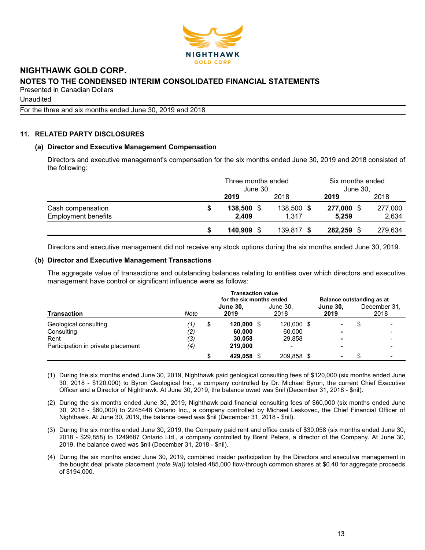

# NIGHTHAWK GOLD CORP. NOTES TO THE CONDENSED INTERIM CONSOLIDATED FINANCIAL STATEMENTS

Presented in Canadian Dollars

Unaudited

For the three and six months ended June 30, 2019 and 2018

# 11. RELATED PARTY DISCLOSURES

# (a) Director and Executive Management Compensation

Directors and executive management's compensation for the six months ended June 30, 2019 and 2018 consisted of the following:

|                            | Three months ended<br>June 30, |            | Six months ended<br>June 30, |         |
|----------------------------|--------------------------------|------------|------------------------------|---------|
|                            | 2019                           | 2018       | 2019                         | 2018    |
| Cash compensation          | 138,500                        | 138,500 \$ | 277,000 \$                   | 277,000 |
| <b>Employment benefits</b> | 2.409                          | 1.317      | 5.259                        | 2,634   |
|                            | 140.909                        | 139,817 \$ | 282,259 \$                   | 279,634 |

Directors and executive management did not receive any stock options during the six months ended June 30, 2019.

# (b) Director and Executive Management Transactions

The aggregate value of transactions and outstanding balances relating to entities over which directors and executive management have control or significant influence were as follows:

| <b>Transaction</b>                 |                   | <b>Transaction value</b><br>for the six months ended |                         |  |                  | Balance outstanding as at |  |                      |  |
|------------------------------------|-------------------|------------------------------------------------------|-------------------------|--|------------------|---------------------------|--|----------------------|--|
|                                    | Note              |                                                      | <b>June 30,</b><br>2019 |  | June 30.<br>2018 | <b>June 30.</b><br>2019   |  | December 31.<br>2018 |  |
| Geological consulting              | (1)               | \$                                                   | $120,000$ \$            |  | 120.000 \$       | ۰                         |  |                      |  |
| Consulting                         | $\left( 2\right)$ |                                                      | 60,000                  |  | 60,000           |                           |  |                      |  |
| Rent                               | (3)               |                                                      | 30.058                  |  | 29.858           | -                         |  |                      |  |
| Participation in private placement | (4)               |                                                      | 219,000                 |  |                  | -                         |  |                      |  |
|                                    |                   |                                                      | 429,058 \$              |  | 209,858 \$       |                           |  |                      |  |

(1) During the six months ended June 30, 2019, Nighthawk paid geological consulting fees of \$120,000 (six months ended June 30, 2018 - \$120,000) to Byron Geological Inc., a company controlled by Dr. Michael Byron, the current Chief Executive Officer and a Director of Nighthawk. At June 30, 2019, the balance owed was \$nil (December 31, 2018 - \$nil).

- (2) During the six months ended June 30, 2019, Nighthawk paid financial consulting fees of \$60,000 (six months ended June 30, 2018 - \$60,000) to 2245448 Ontario Inc., a company controlled by Michael Leskovec, the Chief Financial Officer of Nighthawk. At June 30, 2019, the balance owed was \$nil (December 31, 2018 - \$nil).
- (3) During the six months ended June 30, 2019, the Company paid rent and office costs of \$30,058 (six months ended June 30, 2018 - \$29,858) to 1249687 Ontario Ltd., a company controlled by Brent Peters, a director of the Company. At June 30, 2019, the balance owed was \$nil (December 31, 2018 - \$nil).
- (4) During the six months ended June 30, 2019, combined insider participation by the Directors and executive management in the bought deal private placement (note  $9(a)$ ) totaled 485,000 flow-through common shares at \$0.40 for aggregate proceeds of \$194,000.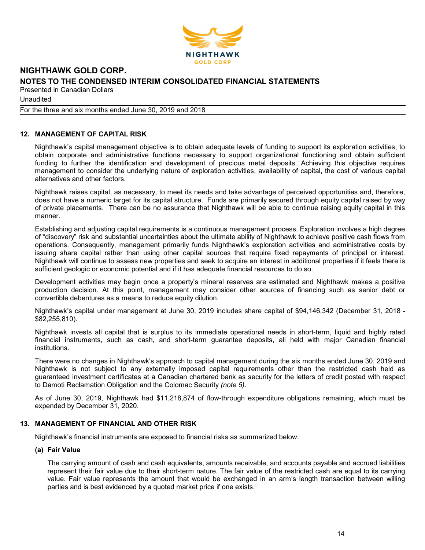

**Unaudited** 

For the three and six months ended June 30, 2019 and 2018

# 12. MANAGEMENT OF CAPITAL RISK

Nighthawk's capital management objective is to obtain adequate levels of funding to support its exploration activities, to obtain corporate and administrative functions necessary to support organizational functioning and obtain sufficient funding to further the identification and development of precious metal deposits. Achieving this objective requires management to consider the underlying nature of exploration activities, availability of capital, the cost of various capital alternatives and other factors.

Nighthawk raises capital, as necessary, to meet its needs and take advantage of perceived opportunities and, therefore, does not have a numeric target for its capital structure. Funds are primarily secured through equity capital raised by way of private placements. There can be no assurance that Nighthawk will be able to continue raising equity capital in this manner.

Establishing and adjusting capital requirements is a continuous management process. Exploration involves a high degree of "discovery" risk and substantial uncertainties about the ultimate ability of Nighthawk to achieve positive cash flows from operations. Consequently, management primarily funds Nighthawk's exploration activities and administrative costs by issuing share capital rather than using other capital sources that require fixed repayments of principal or interest. Nighthawk will continue to assess new properties and seek to acquire an interest in additional properties if it feels there is sufficient geologic or economic potential and if it has adequate financial resources to do so.

Development activities may begin once a property's mineral reserves are estimated and Nighthawk makes a positive production decision. At this point, management may consider other sources of financing such as senior debt or convertible debentures as a means to reduce equity dilution.

Nighthawk's capital under management at June 30, 2019 includes share capital of \$94,146,342 (December 31, 2018 - \$82,255,810).

Nighthawk invests all capital that is surplus to its immediate operational needs in short-term, liquid and highly rated financial instruments, such as cash, and short-term guarantee deposits, all held with major Canadian financial institutions.

There were no changes in Nighthawk's approach to capital management during the six months ended June 30, 2019 and Nighthawk is not subject to any externally imposed capital requirements other than the restricted cash held as guaranteed investment certificates at a Canadian chartered bank as security for the letters of credit posted with respect to Damoti Reclamation Obligation and the Colomac Security (note 5).

As of June 30, 2019, Nighthawk had \$11,218,874 of flow-through expenditure obligations remaining, which must be expended by December 31, 2020.

# 13. MANAGEMENT OF FINANCIAL AND OTHER RISK

Nighthawk's financial instruments are exposed to financial risks as summarized below:

#### (a) Fair Value

The carrying amount of cash and cash equivalents, amounts receivable, and accounts payable and accrued liabilities represent their fair value due to their short-term nature. The fair value of the restricted cash are equal to its carrying value. Fair value represents the amount that would be exchanged in an arm's length transaction between willing parties and is best evidenced by a quoted market price if one exists.